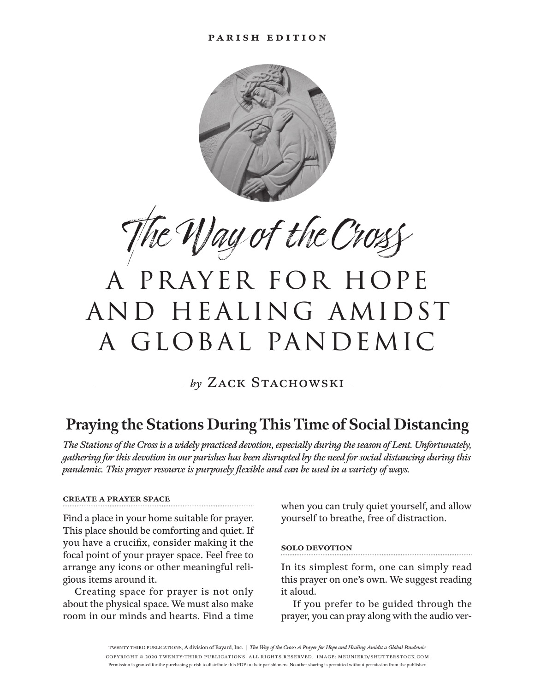

The Way of the Cross

# a prayer for hope and healing amidst a global pandemic

by ZACK STACHOWSKI —

### **Praying the Stations During This Time of Social Distancing**

*The Stations of the Cross is a widely practiced devotion, especially during the season of Lent. Unfortunately, gathering for this devotion in our parishes has been disrupted by the need for social distancing during this pandemic. This prayer resource is purposely flexible and can be used in a variety of ways.*

#### **create a prayer space**

Find a place in your home suitable for prayer. This place should be comforting and quiet. If you have a crucifix, consider making it the focal point of your prayer space. Feel free to arrange any icons or other meaningful religious items around it.

Creating space for prayer is not only about the physical space. We must also make room in our minds and hearts. Find a time

when you can truly quiet yourself, and allow yourself to breathe, free of distraction.

#### **solo devotion**

In its simplest form, one can simply read this prayer on one's own. We suggest reading it aloud.

If you prefer to be guided through the prayer, you can pray along with the audio ver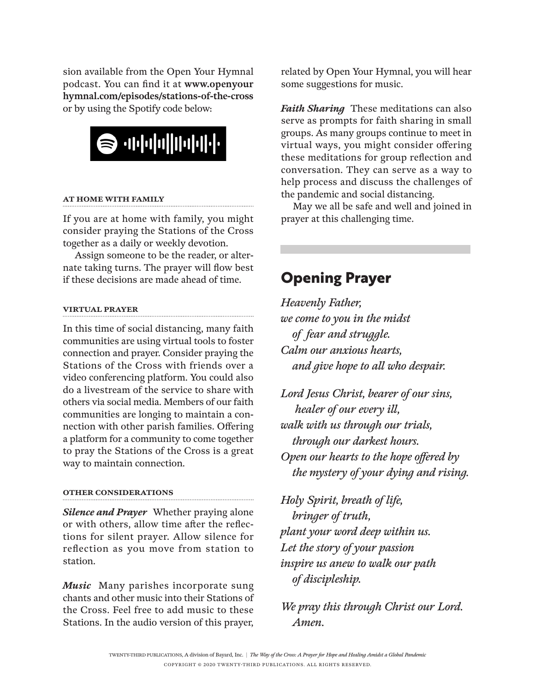sion available from the Open Your Hymnal podcast. You can find it at **www.openyour hymnal.com/episodes/stations-of-the-cross** or by using the Spotify code below:



#### **at home with family**

If you are at home with family, you might consider praying the Stations of the Cross together as a daily or weekly devotion.

Assign someone to be the reader, or alternate taking turns. The prayer will flow best if these decisions are made ahead of time.

#### **virtual prayer**

In this time of social distancing, many faith communities are using virtual tools to foster connection and prayer. Consider praying the Stations of the Cross with friends over a video conferencing platform. You could also do a livestream of the service to share with others via social media. Members of our faith communities are longing to maintain a connection with other parish families. Offering a platform for a community to come together to pray the Stations of the Cross is a great way to maintain connection.

#### **other considerations**

*Silence and Prayer* Whether praying alone or with others, allow time after the reflections for silent prayer. Allow silence for reflection as you move from station to station.

*Music* Many parishes incorporate sung chants and other music into their Stations of the Cross. Feel free to add music to these Stations. In the audio version of this prayer, related by Open Your Hymnal, you will hear some suggestions for music.

*Faith Sharing* These meditations can also serve as prompts for faith sharing in small groups. As many groups continue to meet in virtual ways, you might consider offering these meditations for group reflection and conversation. They can serve as a way to help process and discuss the challenges of the pandemic and social distancing.

May we all be safe and well and joined in prayer at this challenging time.

### **Opening Prayer**

*Heavenly Father, we come to you in the midst of fear and struggle. Calm our anxious hearts, and give hope to all who despair.*

*Lord Jesus Christ, bearer of our sins, healer of our every ill, walk with us through our trials, through our darkest hours. Open our hearts to the hope offered by the mystery of your dying and rising.*

*Holy Spirit, breath of life, bringer of truth, plant your word deep within us. Let the story of your passion inspire us anew to walk our path of discipleship.*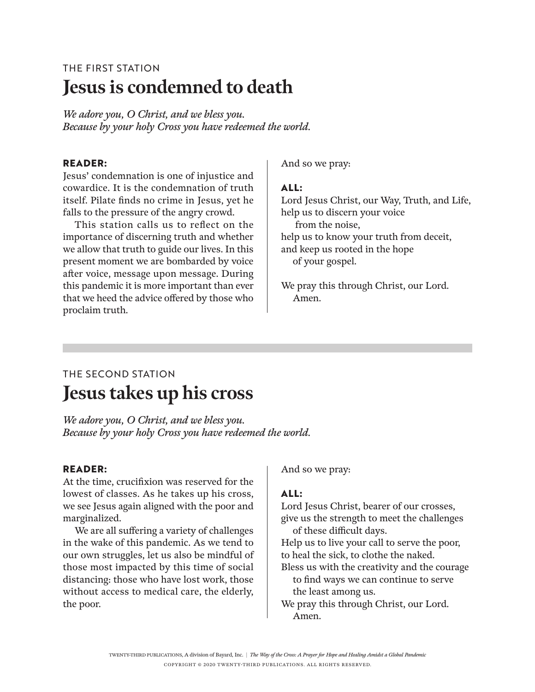# THE FIRST STATION **Jesus is condemned to death**

*We adore you, O Christ, and we bless you. Because by your holy Cross you have redeemed the world.*

#### **reader:**

Jesus' condemnation is one of injustice and cowardice. It is the condemnation of truth itself. Pilate finds no crime in Jesus, yet he falls to the pressure of the angry crowd.

This station calls us to reflect on the importance of discerning truth and whether we allow that truth to guide our lives. In this present moment we are bombarded by voice after voice, message upon message. During this pandemic it is more important than ever that we heed the advice offered by those who proclaim truth.

And so we pray:

#### **all:**

Lord Jesus Christ, our Way, Truth, and Life, help us to discern your voice from the noise, help us to know your truth from deceit, and keep us rooted in the hope of your gospel.

We pray this through Christ, our Lord. Amen.

# THE SECOND STATION **Jesus takes up his cross**

*We adore you, O Christ, and we bless you. Because by your holy Cross you have redeemed the world.*

#### **Reader:**

At the time, crucifixion was reserved for the lowest of classes. As he takes up his cross, we see Jesus again aligned with the poor and marginalized.

We are all suffering a variety of challenges in the wake of this pandemic. As we tend to our own struggles, let us also be mindful of those most impacted by this time of social distancing: those who have lost work, those without access to medical care, the elderly, the poor.

And so we pray:

### **All:**

Lord Jesus Christ, bearer of our crosses, give us the strength to meet the challenges of these difficult days.

Help us to live your call to serve the poor, to heal the sick, to clothe the naked.

Bless us with the creativity and the courage to find ways we can continue to serve the least among us.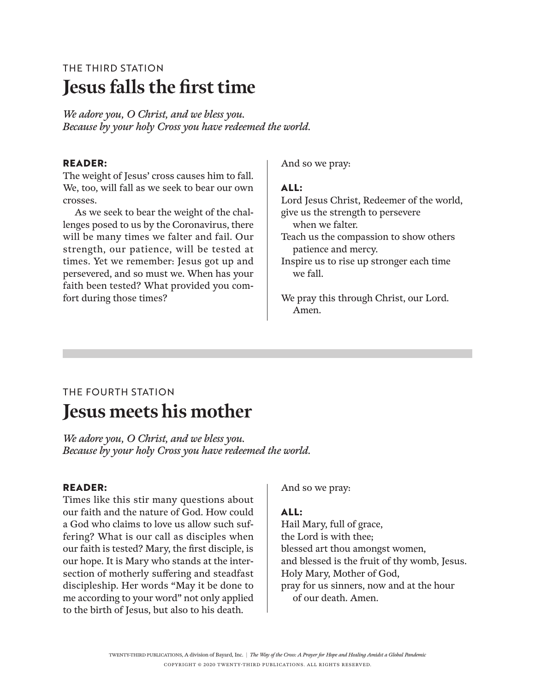# THE THIRD STATION **Jesus falls the first time**

*We adore you, O Christ, and we bless you. Because by your holy Cross you have redeemed the world.*

#### **Reader:**

The weight of Jesus' cross causes him to fall. We, too, will fall as we seek to bear our own crosses.

As we seek to bear the weight of the challenges posed to us by the Coronavirus, there will be many times we falter and fail. Our strength, our patience, will be tested at times. Yet we remember: Jesus got up and persevered, and so must we. When has your faith been tested? What provided you comfort during those times?

And so we pray:

#### **All:**

Lord Jesus Christ, Redeemer of the world, give us the strength to persevere when we falter. Teach us the compassion to show others patience and mercy. Inspire us to rise up stronger each time

we fall.

We pray this through Christ, our Lord. Amen.

### THE FOURTH STATION **Jesus meets his mother**

*We adore you, O Christ, and we bless you. Because by your holy Cross you have redeemed the world.*

#### **Reader:**

Times like this stir many questions about our faith and the nature of God. How could a God who claims to love us allow such suffering? What is our call as disciples when our faith is tested? Mary, the first disciple, is our hope. It is Mary who stands at the intersection of motherly suffering and steadfast discipleship. Her words "May it be done to me according to your word" not only applied to the birth of Jesus, but also to his death.

And so we pray:

#### **All:**

Hail Mary, full of grace, the Lord is with thee; blessed art thou amongst women, and blessed is the fruit of thy womb, Jesus. Holy Mary, Mother of God, pray for us sinners, now and at the hour of our death. Amen.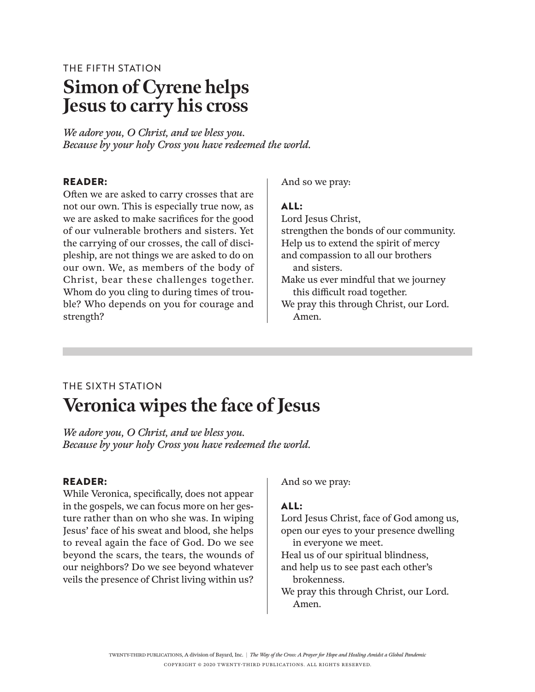# THE FIFTH STATION **Simon of Cyrene helps Jesus to carry his cross**

*We adore you, O Christ, and we bless you. Because by your holy Cross you have redeemed the world.*

#### **Reader:**

Often we are asked to carry crosses that are not our own. This is especially true now, as we are asked to make sacrifices for the good of our vulnerable brothers and sisters. Yet the carrying of our crosses, the call of discipleship, are not things we are asked to do on our own. We, as members of the body of Christ, bear these challenges together. Whom do you cling to during times of trouble? Who depends on you for courage and strength?

And so we pray:

#### **All:**

Lord Jesus Christ, strengthen the bonds of our community. Help us to extend the spirit of mercy and compassion to all our brothers and sisters. Make us ever mindful that we journey this difficult road together.

We pray this through Christ, our Lord. Amen.

# THE SIXTH STATION **Veronica wipes the face of Jesus**

*We adore you, O Christ, and we bless you. Because by your holy Cross you have redeemed the world.*

#### **Reader:**

While Veronica, specifically, does not appear in the gospels, we can focus more on her gesture rather than on who she was. In wiping Jesus' face of his sweat and blood, she helps to reveal again the face of God. Do we see beyond the scars, the tears, the wounds of our neighbors? Do we see beyond whatever veils the presence of Christ living within us?

And so we pray:

### **All:**

Lord Jesus Christ, face of God among us, open our eyes to your presence dwelling in everyone we meet. Heal us of our spiritual blindness, and help us to see past each other's

brokenness.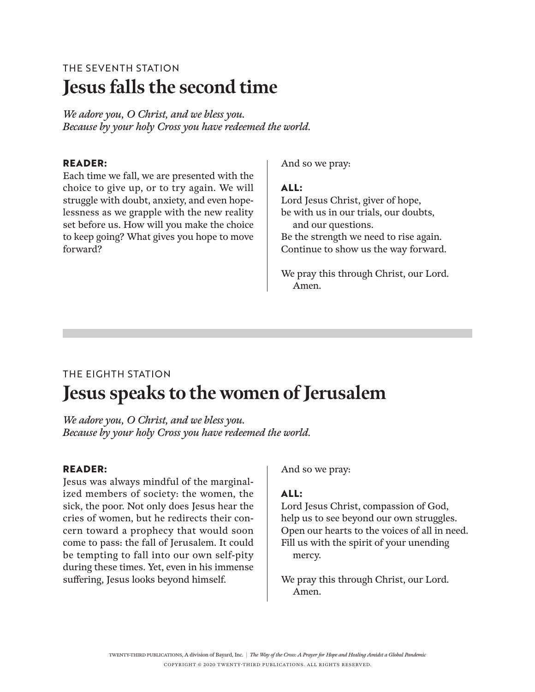# THE SEVENTH STATION **Jesus falls the second time**

*We adore you, O Christ, and we bless you. Because by your holy Cross you have redeemed the world.*

### **Reader:**

Each time we fall, we are presented with the choice to give up, or to try again. We will struggle with doubt, anxiety, and even hopelessness as we grapple with the new reality set before us. How will you make the choice to keep going? What gives you hope to move forward?

And so we pray:

#### **All:**

Lord Jesus Christ, giver of hope, be with us in our trials, our doubts, and our questions. Be the strength we need to rise again. Continue to show us the way forward.

We pray this through Christ, our Lord. Amen.

# THE EIGHTH STATION **Jesus speaks to the women of Jerusalem**

*We adore you, O Christ, and we bless you. Because by your holy Cross you have redeemed the world.*

#### **Reader:**

Jesus was always mindful of the marginalized members of society: the women, the sick, the poor. Not only does Jesus hear the cries of women, but he redirects their concern toward a prophecy that would soon come to pass: the fall of Jerusalem. It could be tempting to fall into our own self-pity during these times. Yet, even in his immense suffering, Jesus looks beyond himself.

And so we pray:

### **All:**

Lord Jesus Christ, compassion of God, help us to see beyond our own struggles. Open our hearts to the voices of all in need. Fill us with the spirit of your unending mercy.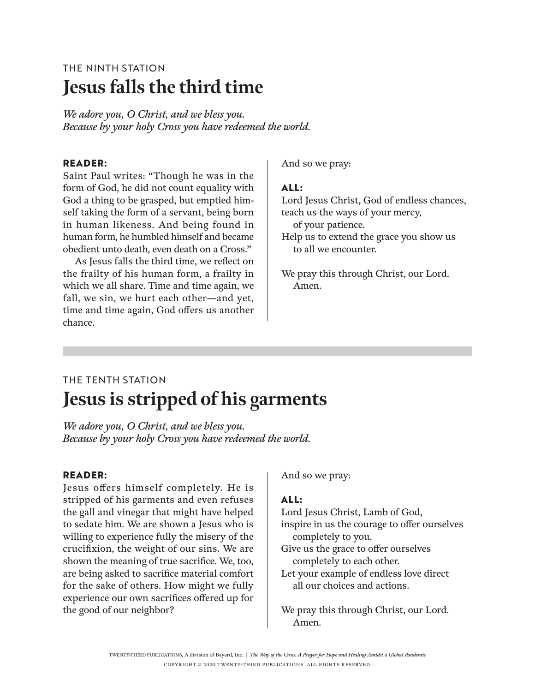# THE NINTH STATION **Jesus falls the third time**

*We adore you, O Christ, and we bless you. Because by your holy Cross you have redeemed the world.*

#### **Reader:**

Saint Paul writes: "Though he was in the form of God, he did not count equality with God a thing to be grasped, but emptied himself taking the form of a servant, being born in human likeness. And being found in human form, he humbled himself and became obedient unto death, even death on a Cross."

As Jesus falls the third time, we reflect on the frailty of his human form, a frailty in which we all share. Time and time again, we fall, we sin, we hurt each other—and yet, time and time again, God offers us another chance.

And so we pray:

to all we encounter.

#### **All:**

Lord Jesus Christ, God of endless chances, teach us the ways of your mercy, of your patience. Help us to extend the grace you show us

We pray this through Christ, our Lord. Amen.

# THE TENTH STATION **Jesus is stripped of his garments**

*We adore you, O Christ, and we bless you. Because by your holy Cross you have redeemed the world.*

#### **Reader:**

Jesus offers himself completely. He is stripped of his garments and even refuses the gall and vinegar that might have helped to sedate him. We are shown a Jesus who is willing to experience fully the misery of the crucifixion, the weight of our sins. We are shown the meaning of true sacrifice. We, too, are being asked to sacrifice material comfort for the sake of others. How might we fully experience our own sacrifices offered up for the good of our neighbor?

And so we pray:

### **All:**

Lord Jesus Christ, Lamb of God, inspire in us the courage to offer ourselves completely to you.

Give us the grace to offer ourselves completely to each other.

Let your example of endless love direct all our choices and actions.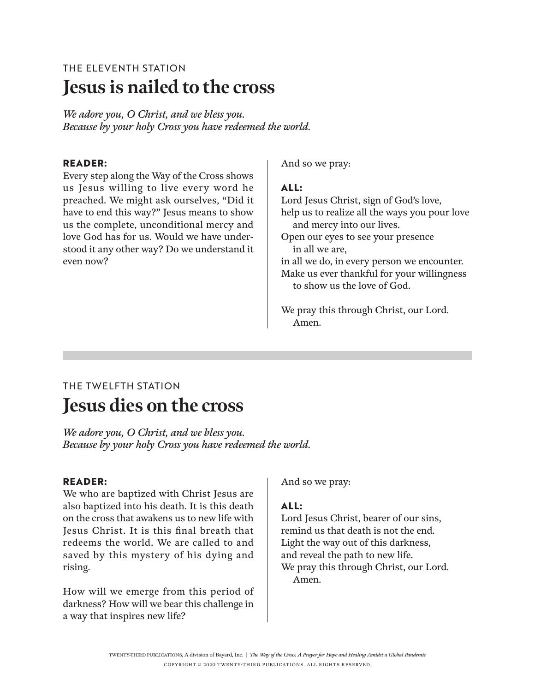# THE ELEVENTH STATION **Jesus is nailed to the cross**

*We adore you, O Christ, and we bless you. Because by your holy Cross you have redeemed the world.*

### **Reader:**

Every step along the Way of the Cross shows us Jesus willing to live every word he preached. We might ask ourselves, "Did it have to end this way?" Jesus means to show us the complete, unconditional mercy and love God has for us. Would we have understood it any other way? Do we understand it even now?

And so we pray:

### **All:**

Lord Jesus Christ, sign of God's love, help us to realize all the ways you pour love and mercy into our lives. Open our eyes to see your presence in all we are, in all we do, in every person we encounter. Make us ever thankful for your willingness to show us the love of God.

We pray this through Christ, our Lord. Amen.

### THE TWELFTH STATION **Jesus dies on the cross**

*We adore you, O Christ, and we bless you. Because by your holy Cross you have redeemed the world.*

### **Reader:**

We who are baptized with Christ Jesus are also baptized into his death. It is this death on the cross that awakens us to new life with Jesus Christ. It is this final breath that redeems the world. We are called to and saved by this mystery of his dying and rising.

How will we emerge from this period of darkness? How will we bear this challenge in a way that inspires new life?

And so we pray:

### **All:**

Lord Jesus Christ, bearer of our sins, remind us that death is not the end. Light the way out of this darkness, and reveal the path to new life. We pray this through Christ, our Lord. Amen.